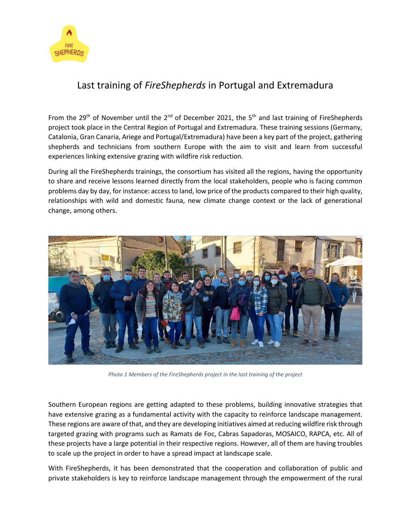

## Last training of *FireShepherds* in Portugal and Extremadura

From the 29<sup>th</sup> of November until the 2<sup>nd</sup> of December 2021, the 5<sup>th</sup> and last training of FireShepherds project took place in the Central Region of Portugal and Extremadura. These training sessions (Germany, Catalonia, Gran Canaria, Ariege and Portugal/Extremadura) have been a key part of the project, gathering shepherds and technicians from southern Europe with the aim to visit and learn from successful experiences linking extensive grazing with wildfire risk reduction.

During all the FireShepherds trainings, the consortium has visited all the regions, having the opportunity to share and receive lessons learned directly from the local stakeholders, people who is facing common problems day by day, for instance: access to land, low price of the products compared to their high quality, relationships with wild and domestic fauna, new climate change context or the lack of generational change, among others.



*Photo 1 Members of the FireShepherds project in the last training of the project*

Southern European regions are getting adapted to these problems, building innovative strategies that have extensive grazing as a fundamental activity with the capacity to reinforce landscape management. These regions are aware of that, and they are developing initiatives aimed at reducing wildfire risk through targeted grazing with programs such as Ramats de Foc, Cabras Sapadoras, MOSAICO, RAPCA, etc. All of these projects have a large potential in their respective regions. However, all of them are having troubles to scale up the project in order to have a spread impact at landscape scale.

With FireShepherds, it has been demonstrated that the cooperation and collaboration of public and private stakeholders is key to reinforce landscape management through the empowerment of the rural